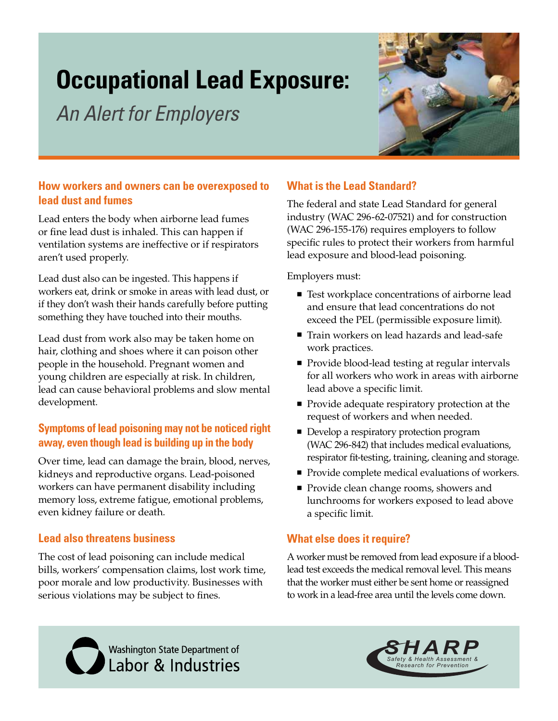# **Occupational Lead Exposure:**

*An Alert for Employers*



## **How workers and owners can be overexposed to lead dust and fumes**

Lead enters the body when airborne lead fumes or fine lead dust is inhaled. This can happen if ventilation systems are ineffective or if respirators aren't used properly.

Lead dust also can be ingested. This happens if workers eat, drink or smoke in areas with lead dust, or if they don't wash their hands carefully before putting something they have touched into their mouths.

Lead dust from work also may be taken home on hair, clothing and shoes where it can poison other people in the household. Pregnant women and young children are especially at risk. In children, lead can cause behavioral problems and slow mental development.

## **Symptoms of lead poisoning may not be noticed right away, even though lead is building up in the body**

Over time, lead can damage the brain, blood, nerves, kidneys and reproductive organs. Lead-poisoned workers can have permanent disability including memory loss, extreme fatigue, emotional problems, even kidney failure or death.

### **Lead also threatens business**

The cost of lead poisoning can include medical bills, workers' compensation claims, lost work time, poor morale and low productivity. Businesses with serious violations may be subject to fines.

# **What is the Lead Standard?**

The federal and state Lead Standard for general industry (WAC 296-62-07521) and for construction (WAC 296-155-176) requires employers to follow specific rules to protect their workers from harmful lead exposure and blood-lead poisoning.

Employers must:

- Test workplace concentrations of airborne lead and ensure that lead concentrations do not exceed the PEL (permissible exposure limit).
- Train workers on lead hazards and lead-safe work practices.
- Provide blood-lead testing at regular intervals for all workers who work in areas with airborne lead above a specific limit.
- **Provide adequate respiratory protection at the** request of workers and when needed.
- Develop a respiratory protection program (WAC 296-842) that includes medical evaluations, respirator fit-testing, training, cleaning and storage.
- Provide complete medical evaluations of workers.
- **Provide clean change rooms, showers and** lunchrooms for workers exposed to lead above a specific limit.

## **What else does it require?**

A worker must be removed from lead exposure if a bloodlead test exceeds the medical removal level. This means that the worker must either be sent home or reassigned to work in a lead-free area until the levels come down.

Washington State Department of<br>Labor & Industries